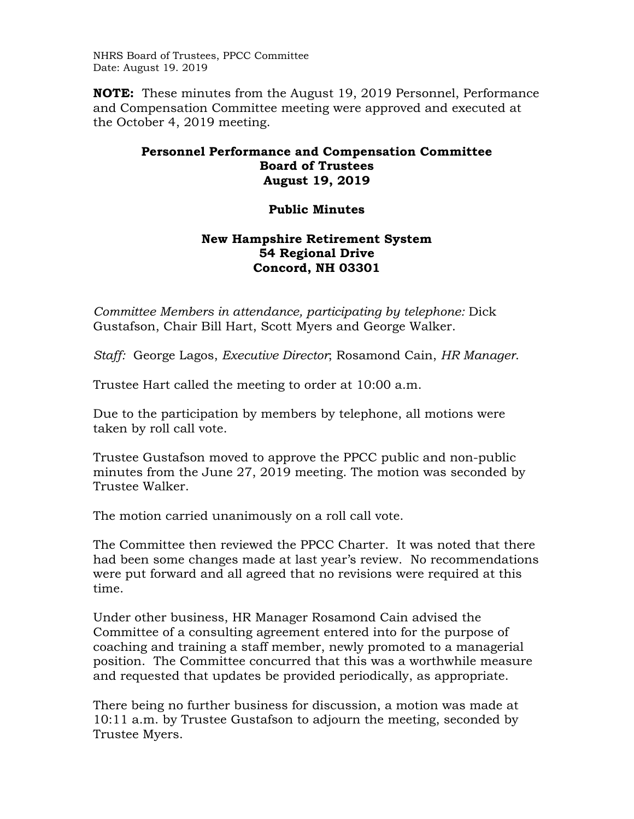NHRS Board of Trustees, PPCC Committee Date: August 19. 2019

**NOTE:** These minutes from the August 19, 2019 Personnel, Performance and Compensation Committee meeting were approved and executed at the October 4, 2019 meeting.

## **Personnel Performance and Compensation Committee Board of Trustees August 19, 2019**

## **Public Minutes**

## **New Hampshire Retirement System 54 Regional Drive Concord, NH 03301**

*Committee Members in attendance, participating by telephone: Dick* Gustafson, Chair Bill Hart, Scott Myers and George Walker.

*Staff:* George Lagos, *Executive Director*; Rosamond Cain, *HR Manager*.

Trustee Hart called the meeting to order at 10:00 a.m.

Due to the participation by members by telephone, all motions were taken by roll call vote.

Trustee Gustafson moved to approve the PPCC public and non-public minutes from the June 27, 2019 meeting. The motion was seconded by Trustee Walker.

The motion carried unanimously on a roll call vote.

The Committee then reviewed the PPCC Charter. It was noted that there had been some changes made at last year's review. No recommendations were put forward and all agreed that no revisions were required at this time.

Under other business, HR Manager Rosamond Cain advised the Committee of a consulting agreement entered into for the purpose of coaching and training a staff member, newly promoted to a managerial position. The Committee concurred that this was a worthwhile measure and requested that updates be provided periodically, as appropriate.

There being no further business for discussion, a motion was made at 10:11 a.m. by Trustee Gustafson to adjourn the meeting, seconded by Trustee Myers.